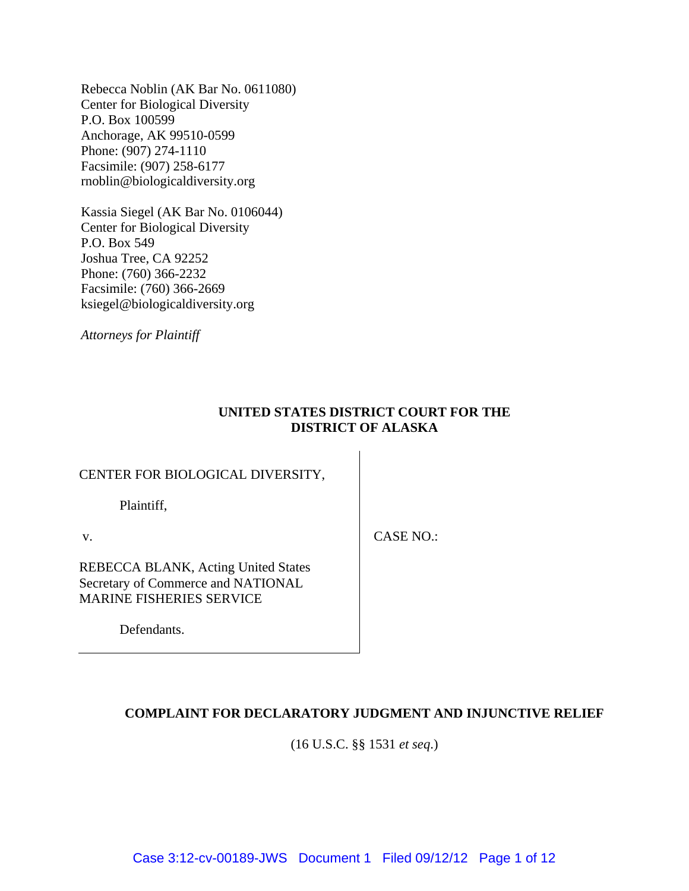Rebecca Noblin (AK Bar No. 0611080) Center for Biological Diversity P.O. Box 100599 Anchorage, AK 99510-0599 Phone: (907) 274-1110 Facsimile: (907) 258-6177 rnoblin@biologicaldiversity.org

Kassia Siegel (AK Bar No. 0106044) Center for Biological Diversity P.O. Box 549 Joshua Tree, CA 92252 Phone: (760) 366-2232 Facsimile: (760) 366-2669 ksiegel@biologicaldiversity.org

*Attorneys for Plaintiff* 

# **UNITED STATES DISTRICT COURT FOR THE DISTRICT OF ALASKA**

# CENTER FOR BIOLOGICAL DIVERSITY,

Plaintiff,

v.

CASE NO.:

REBECCA BLANK, Acting United States Secretary of Commerce and NATIONAL MARINE FISHERIES SERVICE

Defendants.

# **COMPLAINT FOR DECLARATORY JUDGMENT AND INJUNCTIVE RELIEF**

(16 U.S.C. §§ 1531 *et seq*.)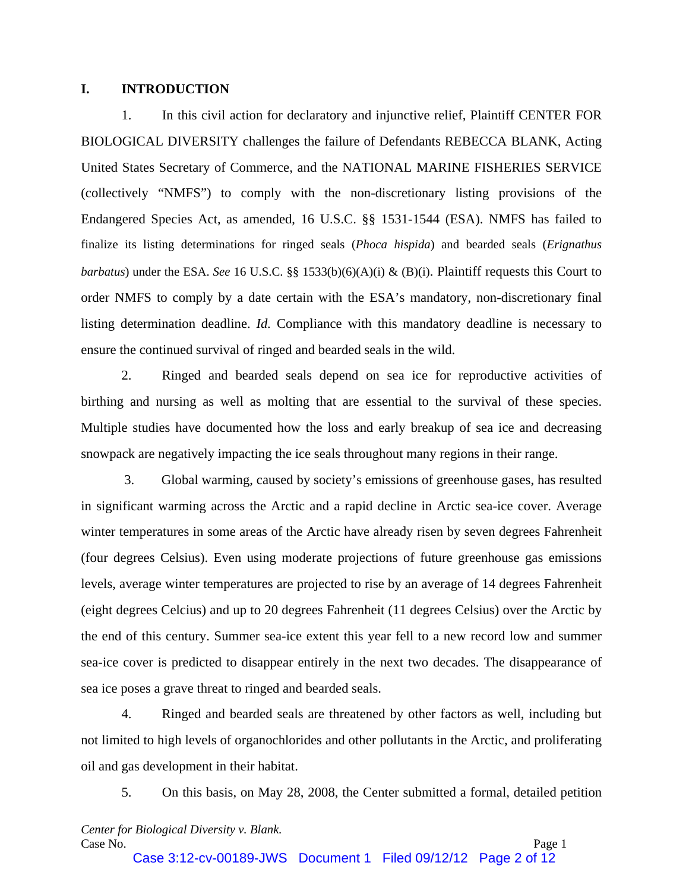#### **I. INTRODUCTION**

1. In this civil action for declaratory and injunctive relief, Plaintiff CENTER FOR BIOLOGICAL DIVERSITY challenges the failure of Defendants REBECCA BLANK, Acting United States Secretary of Commerce, and the NATIONAL MARINE FISHERIES SERVICE (collectively "NMFS") to comply with the non-discretionary listing provisions of the Endangered Species Act, as amended, 16 U.S.C. §§ 1531-1544 (ESA). NMFS has failed to finalize its listing determinations for ringed seals (*Phoca hispida*) and bearded seals (*Erignathus barbatus*) under the ESA. *See* 16 U.S.C. §§ 1533(b)(6)(A)(i) & (B)(i). Plaintiff requests this Court to order NMFS to comply by a date certain with the ESA's mandatory, non-discretionary final listing determination deadline. *Id.* Compliance with this mandatory deadline is necessary to ensure the continued survival of ringed and bearded seals in the wild.

2. Ringed and bearded seals depend on sea ice for reproductive activities of birthing and nursing as well as molting that are essential to the survival of these species. Multiple studies have documented how the loss and early breakup of sea ice and decreasing snowpack are negatively impacting the ice seals throughout many regions in their range.

3. Global warming, caused by society's emissions of greenhouse gases, has resulted in significant warming across the Arctic and a rapid decline in Arctic sea-ice cover. Average winter temperatures in some areas of the Arctic have already risen by seven degrees Fahrenheit (four degrees Celsius). Even using moderate projections of future greenhouse gas emissions levels, average winter temperatures are projected to rise by an average of 14 degrees Fahrenheit (eight degrees Celcius) and up to 20 degrees Fahrenheit (11 degrees Celsius) over the Arctic by the end of this century. Summer sea-ice extent this year fell to a new record low and summer sea-ice cover is predicted to disappear entirely in the next two decades. The disappearance of sea ice poses a grave threat to ringed and bearded seals.

4. Ringed and bearded seals are threatened by other factors as well, including but not limited to high levels of organochlorides and other pollutants in the Arctic, and proliferating oil and gas development in their habitat.

5. On this basis, on May 28, 2008, the Center submitted a formal, detailed petition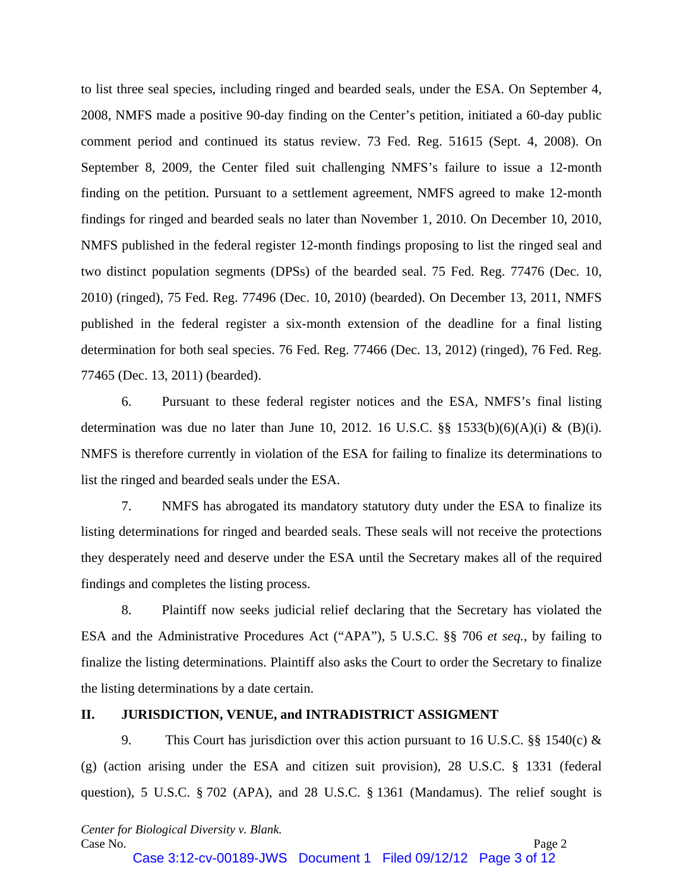to list three seal species, including ringed and bearded seals, under the ESA. On September 4, 2008, NMFS made a positive 90-day finding on the Center's petition, initiated a 60-day public comment period and continued its status review. 73 Fed. Reg. 51615 (Sept. 4, 2008). On September 8, 2009, the Center filed suit challenging NMFS's failure to issue a 12-month finding on the petition. Pursuant to a settlement agreement, NMFS agreed to make 12-month findings for ringed and bearded seals no later than November 1, 2010. On December 10, 2010, NMFS published in the federal register 12-month findings proposing to list the ringed seal and two distinct population segments (DPSs) of the bearded seal. 75 Fed. Reg. 77476 (Dec. 10, 2010) (ringed), 75 Fed. Reg. 77496 (Dec. 10, 2010) (bearded). On December 13, 2011, NMFS published in the federal register a six-month extension of the deadline for a final listing determination for both seal species. 76 Fed. Reg. 77466 (Dec. 13, 2012) (ringed), 76 Fed. Reg. 77465 (Dec. 13, 2011) (bearded).

6. Pursuant to these federal register notices and the ESA, NMFS's final listing determination was due no later than June 10, 2012. 16 U.S.C.  $\S\S$  1533(b)(6)(A)(i) & (B)(i). NMFS is therefore currently in violation of the ESA for failing to finalize its determinations to list the ringed and bearded seals under the ESA.

7. NMFS has abrogated its mandatory statutory duty under the ESA to finalize its listing determinations for ringed and bearded seals. These seals will not receive the protections they desperately need and deserve under the ESA until the Secretary makes all of the required findings and completes the listing process.

8. Plaintiff now seeks judicial relief declaring that the Secretary has violated the ESA and the Administrative Procedures Act ("APA"), 5 U.S.C. §§ 706 *et seq.*, by failing to finalize the listing determinations. Plaintiff also asks the Court to order the Secretary to finalize the listing determinations by a date certain.

## **II. JURISDICTION, VENUE, and INTRADISTRICT ASSIGMENT**

9. This Court has jurisdiction over this action pursuant to 16 U.S.C. §§ 1540(c) & (g) (action arising under the ESA and citizen suit provision), 28 U.S.C. § 1331 (federal question), 5 U.S.C. § 702 (APA), and 28 U.S.C. § 1361 (Mandamus). The relief sought is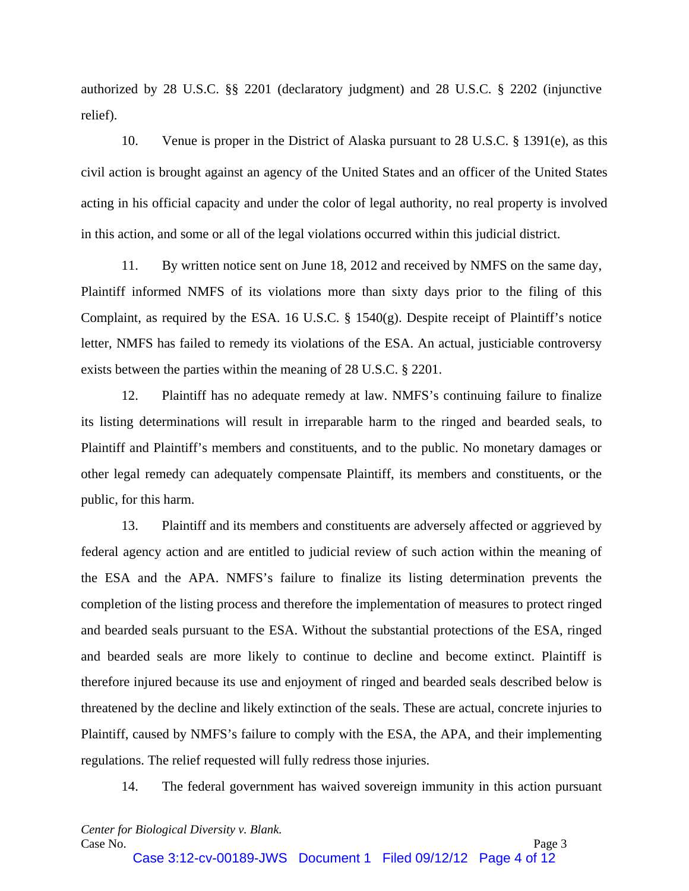authorized by 28 U.S.C. §§ 2201 (declaratory judgment) and 28 U.S.C. § 2202 (injunctive relief).

10. Venue is proper in the District of Alaska pursuant to 28 U.S.C. § 1391(e), as this civil action is brought against an agency of the United States and an officer of the United States acting in his official capacity and under the color of legal authority, no real property is involved in this action, and some or all of the legal violations occurred within this judicial district.

11. By written notice sent on June 18, 2012 and received by NMFS on the same day, Plaintiff informed NMFS of its violations more than sixty days prior to the filing of this Complaint, as required by the ESA. 16 U.S.C. § 1540(g). Despite receipt of Plaintiff's notice letter, NMFS has failed to remedy its violations of the ESA. An actual, justiciable controversy exists between the parties within the meaning of 28 U.S.C. § 2201.

12. Plaintiff has no adequate remedy at law. NMFS's continuing failure to finalize its listing determinations will result in irreparable harm to the ringed and bearded seals, to Plaintiff and Plaintiff's members and constituents, and to the public. No monetary damages or other legal remedy can adequately compensate Plaintiff, its members and constituents, or the public, for this harm.

13. Plaintiff and its members and constituents are adversely affected or aggrieved by federal agency action and are entitled to judicial review of such action within the meaning of the ESA and the APA. NMFS's failure to finalize its listing determination prevents the completion of the listing process and therefore the implementation of measures to protect ringed and bearded seals pursuant to the ESA. Without the substantial protections of the ESA, ringed and bearded seals are more likely to continue to decline and become extinct. Plaintiff is therefore injured because its use and enjoyment of ringed and bearded seals described below is threatened by the decline and likely extinction of the seals. These are actual, concrete injuries to Plaintiff, caused by NMFS's failure to comply with the ESA, the APA, and their implementing regulations. The relief requested will fully redress those injuries.

14. The federal government has waived sovereign immunity in this action pursuant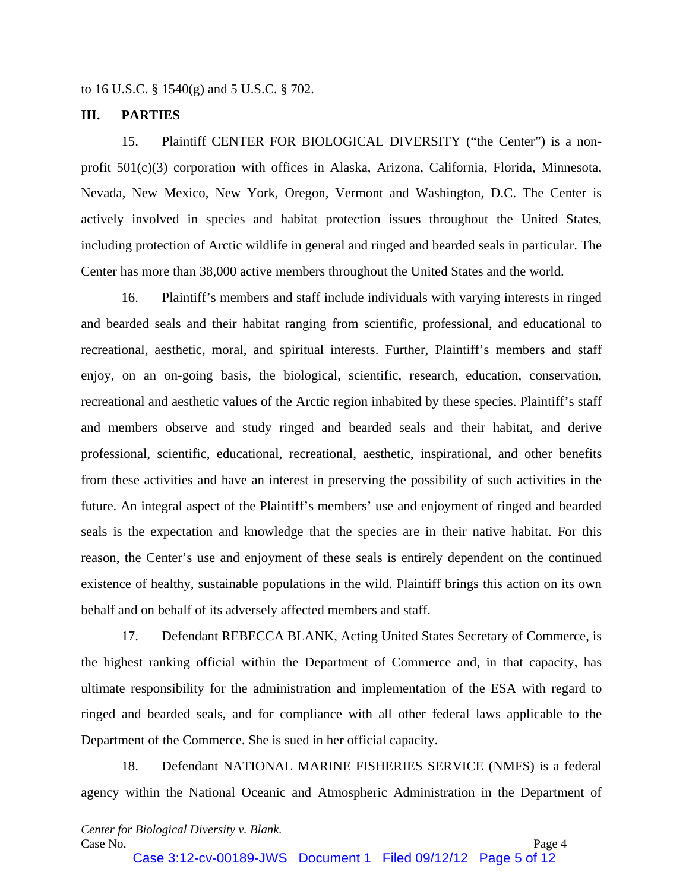to 16 U.S.C. § 1540(g) and 5 U.S.C. § 702.

#### **III. PARTIES**

15. Plaintiff CENTER FOR BIOLOGICAL DIVERSITY ("the Center") is a nonprofit 501(c)(3) corporation with offices in Alaska, Arizona, California, Florida, Minnesota, Nevada, New Mexico, New York, Oregon, Vermont and Washington, D.C. The Center is actively involved in species and habitat protection issues throughout the United States, including protection of Arctic wildlife in general and ringed and bearded seals in particular. The Center has more than 38,000 active members throughout the United States and the world.

16. Plaintiff's members and staff include individuals with varying interests in ringed and bearded seals and their habitat ranging from scientific, professional, and educational to recreational, aesthetic, moral, and spiritual interests. Further, Plaintiff's members and staff enjoy, on an on-going basis, the biological, scientific, research, education, conservation, recreational and aesthetic values of the Arctic region inhabited by these species. Plaintiff's staff and members observe and study ringed and bearded seals and their habitat, and derive professional, scientific, educational, recreational, aesthetic, inspirational, and other benefits from these activities and have an interest in preserving the possibility of such activities in the future. An integral aspect of the Plaintiff's members' use and enjoyment of ringed and bearded seals is the expectation and knowledge that the species are in their native habitat. For this reason, the Center's use and enjoyment of these seals is entirely dependent on the continued existence of healthy, sustainable populations in the wild. Plaintiff brings this action on its own behalf and on behalf of its adversely affected members and staff.

17. Defendant REBECCA BLANK, Acting United States Secretary of Commerce, is the highest ranking official within the Department of Commerce and, in that capacity, has ultimate responsibility for the administration and implementation of the ESA with regard to ringed and bearded seals, and for compliance with all other federal laws applicable to the Department of the Commerce. She is sued in her official capacity.

18. Defendant NATIONAL MARINE FISHERIES SERVICE (NMFS) is a federal agency within the National Oceanic and Atmospheric Administration in the Department of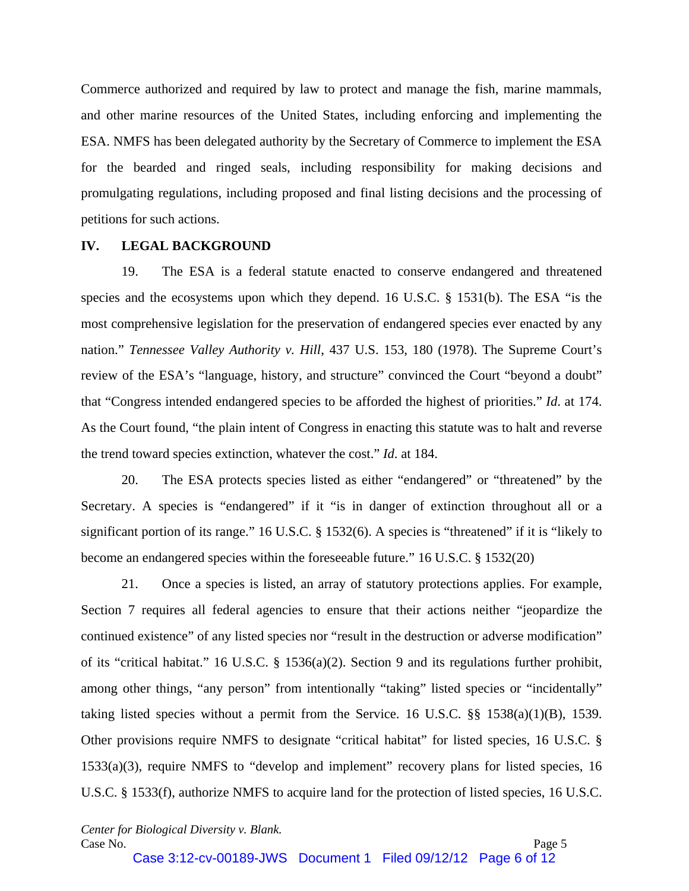Commerce authorized and required by law to protect and manage the fish, marine mammals, and other marine resources of the United States, including enforcing and implementing the ESA. NMFS has been delegated authority by the Secretary of Commerce to implement the ESA for the bearded and ringed seals, including responsibility for making decisions and promulgating regulations, including proposed and final listing decisions and the processing of petitions for such actions.

#### **IV. LEGAL BACKGROUND**

19. The ESA is a federal statute enacted to conserve endangered and threatened species and the ecosystems upon which they depend. 16 U.S.C. § 1531(b). The ESA "is the most comprehensive legislation for the preservation of endangered species ever enacted by any nation." *Tennessee Valley Authority v. Hill*, 437 U.S. 153, 180 (1978). The Supreme Court's review of the ESA's "language, history, and structure" convinced the Court "beyond a doubt" that "Congress intended endangered species to be afforded the highest of priorities." *Id*. at 174. As the Court found, "the plain intent of Congress in enacting this statute was to halt and reverse the trend toward species extinction, whatever the cost." *Id*. at 184.

20. The ESA protects species listed as either "endangered" or "threatened" by the Secretary. A species is "endangered" if it "is in danger of extinction throughout all or a significant portion of its range." 16 U.S.C. § 1532(6). A species is "threatened" if it is "likely to become an endangered species within the foreseeable future." 16 U.S.C. § 1532(20)

21. Once a species is listed, an array of statutory protections applies. For example, Section 7 requires all federal agencies to ensure that their actions neither "jeopardize the continued existence" of any listed species nor "result in the destruction or adverse modification" of its "critical habitat." 16 U.S.C. § 1536(a)(2). Section 9 and its regulations further prohibit, among other things, "any person" from intentionally "taking" listed species or "incidentally" taking listed species without a permit from the Service. 16 U.S.C. §§ 1538(a)(1)(B), 1539. Other provisions require NMFS to designate "critical habitat" for listed species, 16 U.S.C. § 1533(a)(3), require NMFS to "develop and implement" recovery plans for listed species, 16 U.S.C. § 1533(f), authorize NMFS to acquire land for the protection of listed species, 16 U.S.C.

*Center for Biological Diversity v. Blank.*  Case No. Page 5

Case 3:12-cv-00189-JWS Document 1 Filed 09/12/12 Page 6 of 12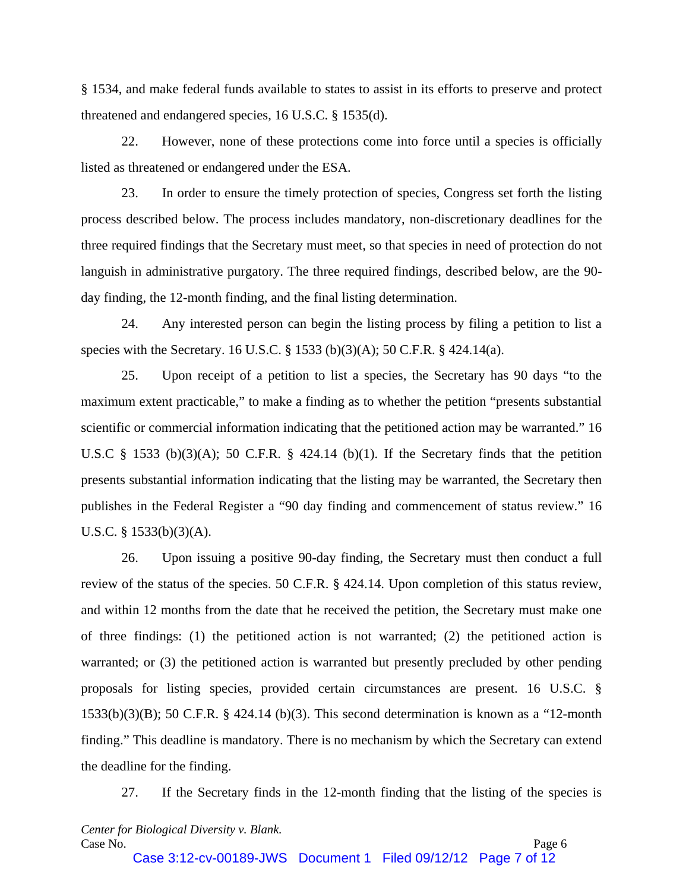§ 1534, and make federal funds available to states to assist in its efforts to preserve and protect threatened and endangered species, 16 U.S.C. § 1535(d).

22. However, none of these protections come into force until a species is officially listed as threatened or endangered under the ESA.

23. In order to ensure the timely protection of species, Congress set forth the listing process described below. The process includes mandatory, non-discretionary deadlines for the three required findings that the Secretary must meet, so that species in need of protection do not languish in administrative purgatory. The three required findings, described below, are the 90 day finding, the 12-month finding, and the final listing determination.

24. Any interested person can begin the listing process by filing a petition to list a species with the Secretary. 16 U.S.C. § 1533 (b)(3)(A); 50 C.F.R. § 424.14(a).

25. Upon receipt of a petition to list a species, the Secretary has 90 days "to the maximum extent practicable," to make a finding as to whether the petition "presents substantial scientific or commercial information indicating that the petitioned action may be warranted." 16 U.S.C  $\S$  1533 (b)(3)(A); 50 C.F.R.  $\S$  424.14 (b)(1). If the Secretary finds that the petition presents substantial information indicating that the listing may be warranted, the Secretary then publishes in the Federal Register a "90 day finding and commencement of status review." 16 U.S.C. § 1533(b)(3)(A).

26. Upon issuing a positive 90-day finding, the Secretary must then conduct a full review of the status of the species. 50 C.F.R. § 424.14. Upon completion of this status review, and within 12 months from the date that he received the petition, the Secretary must make one of three findings: (1) the petitioned action is not warranted; (2) the petitioned action is warranted; or (3) the petitioned action is warranted but presently precluded by other pending proposals for listing species, provided certain circumstances are present. 16 U.S.C. § 1533(b)(3)(B); 50 C.F.R. § 424.14 (b)(3). This second determination is known as a "12-month finding." This deadline is mandatory. There is no mechanism by which the Secretary can extend the deadline for the finding.

27. If the Secretary finds in the 12-month finding that the listing of the species is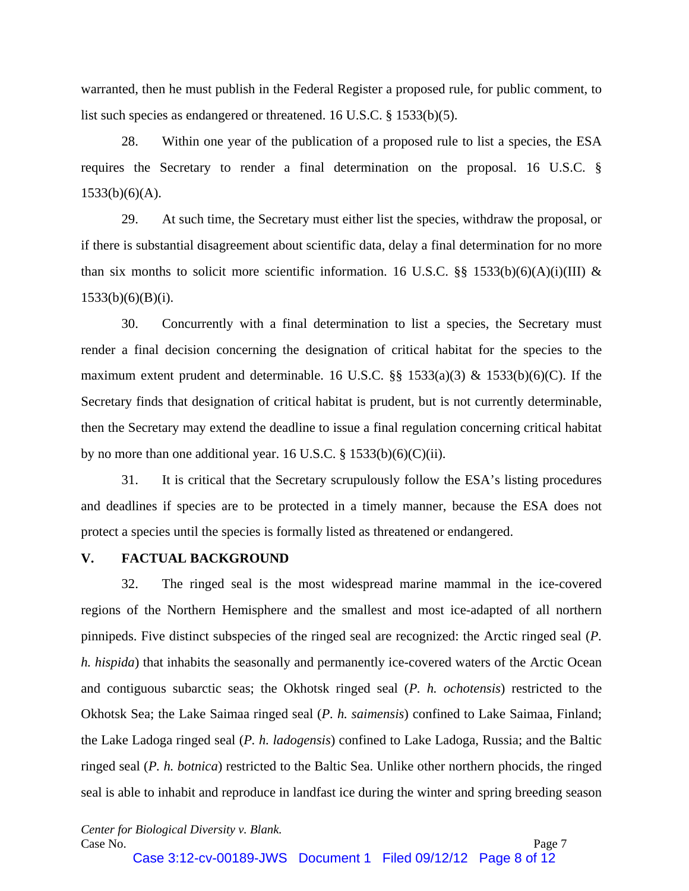warranted, then he must publish in the Federal Register a proposed rule, for public comment, to list such species as endangered or threatened. 16 U.S.C. § 1533(b)(5).

28. Within one year of the publication of a proposed rule to list a species, the ESA requires the Secretary to render a final determination on the proposal. 16 U.S.C. § 1533(b)(6)(A).

29. At such time, the Secretary must either list the species, withdraw the proposal, or if there is substantial disagreement about scientific data, delay a final determination for no more than six months to solicit more scientific information. 16 U.S.C. §§ 1533(b)(6)(A)(i)(III) & 1533(b)(6)(B)(i).

30. Concurrently with a final determination to list a species, the Secretary must render a final decision concerning the designation of critical habitat for the species to the maximum extent prudent and determinable. 16 U.S.C.  $\S$  1533(a)(3) & 1533(b)(6)(C). If the Secretary finds that designation of critical habitat is prudent, but is not currently determinable, then the Secretary may extend the deadline to issue a final regulation concerning critical habitat by no more than one additional year. 16 U.S.C.  $\S$  1533(b)(6)(C)(ii).

31. It is critical that the Secretary scrupulously follow the ESA's listing procedures and deadlines if species are to be protected in a timely manner, because the ESA does not protect a species until the species is formally listed as threatened or endangered.

## **V. FACTUAL BACKGROUND**

32. The ringed seal is the most widespread marine mammal in the ice-covered regions of the Northern Hemisphere and the smallest and most ice-adapted of all northern pinnipeds. Five distinct subspecies of the ringed seal are recognized: the Arctic ringed seal (*P. h. hispida*) that inhabits the seasonally and permanently ice-covered waters of the Arctic Ocean and contiguous subarctic seas; the Okhotsk ringed seal (*P. h. ochotensis*) restricted to the Okhotsk Sea; the Lake Saimaa ringed seal (*P. h. saimensis*) confined to Lake Saimaa, Finland; the Lake Ladoga ringed seal (*P. h. ladogensis*) confined to Lake Ladoga, Russia; and the Baltic ringed seal (*P. h. botnica*) restricted to the Baltic Sea. Unlike other northern phocids, the ringed seal is able to inhabit and reproduce in landfast ice during the winter and spring breeding season

*Center for Biological Diversity v. Blank.*  Case No. Page 7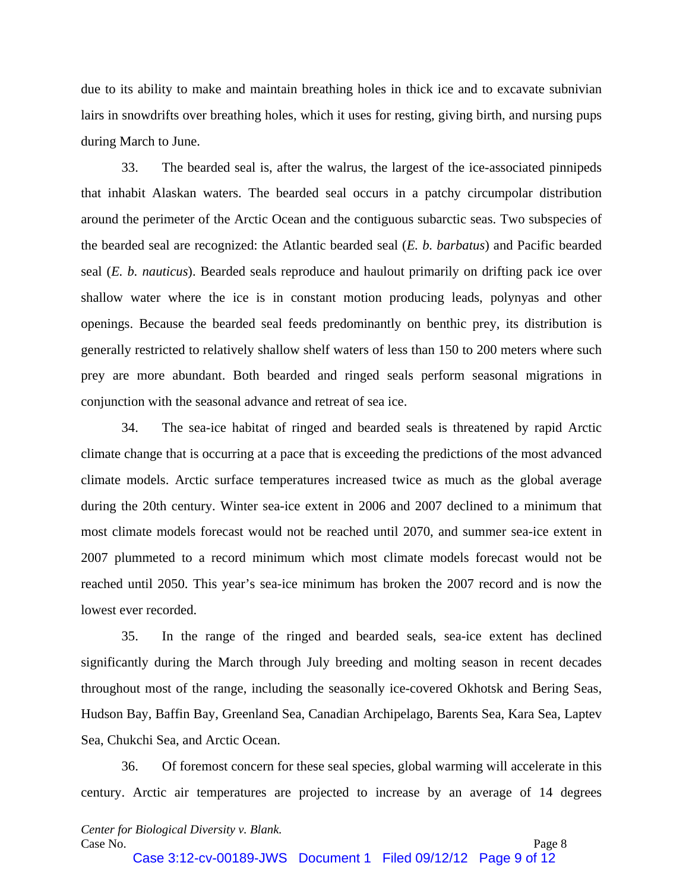due to its ability to make and maintain breathing holes in thick ice and to excavate subnivian lairs in snowdrifts over breathing holes, which it uses for resting, giving birth, and nursing pups during March to June.

33. The bearded seal is, after the walrus, the largest of the ice-associated pinnipeds that inhabit Alaskan waters. The bearded seal occurs in a patchy circumpolar distribution around the perimeter of the Arctic Ocean and the contiguous subarctic seas. Two subspecies of the bearded seal are recognized: the Atlantic bearded seal (*E. b. barbatus*) and Pacific bearded seal (*E. b. nauticus*). Bearded seals reproduce and haulout primarily on drifting pack ice over shallow water where the ice is in constant motion producing leads, polynyas and other openings. Because the bearded seal feeds predominantly on benthic prey, its distribution is generally restricted to relatively shallow shelf waters of less than 150 to 200 meters where such prey are more abundant. Both bearded and ringed seals perform seasonal migrations in conjunction with the seasonal advance and retreat of sea ice.

34. The sea-ice habitat of ringed and bearded seals is threatened by rapid Arctic climate change that is occurring at a pace that is exceeding the predictions of the most advanced climate models. Arctic surface temperatures increased twice as much as the global average during the 20th century. Winter sea-ice extent in 2006 and 2007 declined to a minimum that most climate models forecast would not be reached until 2070, and summer sea-ice extent in 2007 plummeted to a record minimum which most climate models forecast would not be reached until 2050. This year's sea-ice minimum has broken the 2007 record and is now the lowest ever recorded.

35. In the range of the ringed and bearded seals, sea-ice extent has declined significantly during the March through July breeding and molting season in recent decades throughout most of the range, including the seasonally ice-covered Okhotsk and Bering Seas, Hudson Bay, Baffin Bay, Greenland Sea, Canadian Archipelago, Barents Sea, Kara Sea, Laptev Sea, Chukchi Sea, and Arctic Ocean.

36. Of foremost concern for these seal species, global warming will accelerate in this century. Arctic air temperatures are projected to increase by an average of 14 degrees

Case 3:12-cv-00189-JWS Document 1 Filed 09/12/12 Page 9 of 12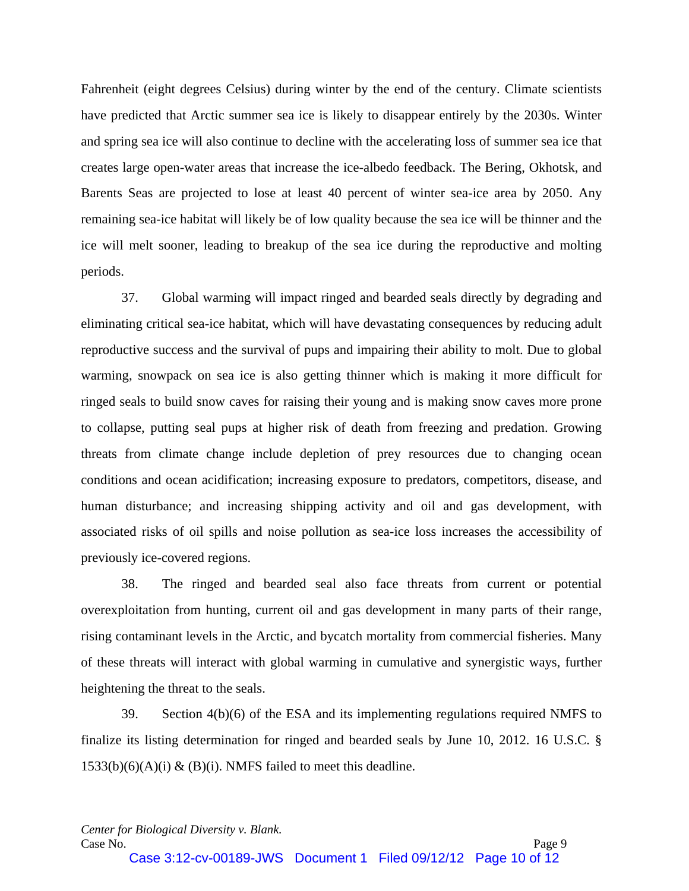Fahrenheit (eight degrees Celsius) during winter by the end of the century. Climate scientists have predicted that Arctic summer sea ice is likely to disappear entirely by the 2030s. Winter and spring sea ice will also continue to decline with the accelerating loss of summer sea ice that creates large open-water areas that increase the ice-albedo feedback. The Bering, Okhotsk, and Barents Seas are projected to lose at least 40 percent of winter sea-ice area by 2050. Any remaining sea-ice habitat will likely be of low quality because the sea ice will be thinner and the ice will melt sooner, leading to breakup of the sea ice during the reproductive and molting periods.

37. Global warming will impact ringed and bearded seals directly by degrading and eliminating critical sea-ice habitat, which will have devastating consequences by reducing adult reproductive success and the survival of pups and impairing their ability to molt. Due to global warming, snowpack on sea ice is also getting thinner which is making it more difficult for ringed seals to build snow caves for raising their young and is making snow caves more prone to collapse, putting seal pups at higher risk of death from freezing and predation. Growing threats from climate change include depletion of prey resources due to changing ocean conditions and ocean acidification; increasing exposure to predators, competitors, disease, and human disturbance; and increasing shipping activity and oil and gas development, with associated risks of oil spills and noise pollution as sea-ice loss increases the accessibility of previously ice-covered regions.

38. The ringed and bearded seal also face threats from current or potential overexploitation from hunting, current oil and gas development in many parts of their range, rising contaminant levels in the Arctic, and bycatch mortality from commercial fisheries. Many of these threats will interact with global warming in cumulative and synergistic ways, further heightening the threat to the seals.

39. Section 4(b)(6) of the ESA and its implementing regulations required NMFS to finalize its listing determination for ringed and bearded seals by June 10, 2012. 16 U.S.C. §  $1533(b)(6)(A)(i) \& (B)(i)$ . NMFS failed to meet this deadline.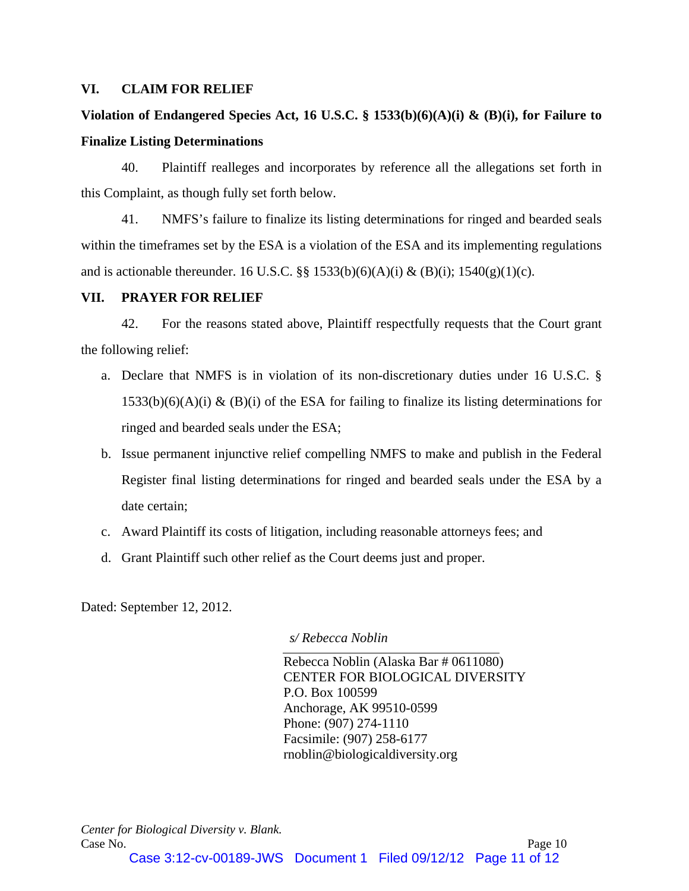## **VI. CLAIM FOR RELIEF**

# **Violation of Endangered Species Act, 16 U.S.C. § 1533(b)(6)(A)(i) & (B)(i), for Failure to Finalize Listing Determinations**

40. Plaintiff realleges and incorporates by reference all the allegations set forth in this Complaint, as though fully set forth below.

41. NMFS's failure to finalize its listing determinations for ringed and bearded seals within the timeframes set by the ESA is a violation of the ESA and its implementing regulations and is actionable thereunder. 16 U.S.C. §§ 1533(b)(6)(A)(i) & (B)(i); 1540(g)(1)(c).

# **VII. PRAYER FOR RELIEF**

42. For the reasons stated above, Plaintiff respectfully requests that the Court grant the following relief:

- a. Declare that NMFS is in violation of its non-discretionary duties under 16 U.S.C. §  $1533(b)(6)(A)(i)$  & (B)(i) of the ESA for failing to finalize its listing determinations for ringed and bearded seals under the ESA;
- b. Issue permanent injunctive relief compelling NMFS to make and publish in the Federal Register final listing determinations for ringed and bearded seals under the ESA by a date certain;
- c. Award Plaintiff its costs of litigation, including reasonable attorneys fees; and
- d. Grant Plaintiff such other relief as the Court deems just and proper.

Dated: September 12, 2012.

*s/ Rebecca Noblin* 

Rebecca Noblin (Alaska Bar # 0611080) CENTER FOR BIOLOGICAL DIVERSITY P.O. Box 100599 Anchorage, AK 99510-0599 Phone: (907) 274-1110 Facsimile: (907) 258-6177 rnoblin@biologicaldiversity.org

*Center for Biological Diversity v. Blank.*  Case No. Page 10 Case 3:12-cv-00189-JWS Document 1 Filed 09/12/12 Page 11 of 12